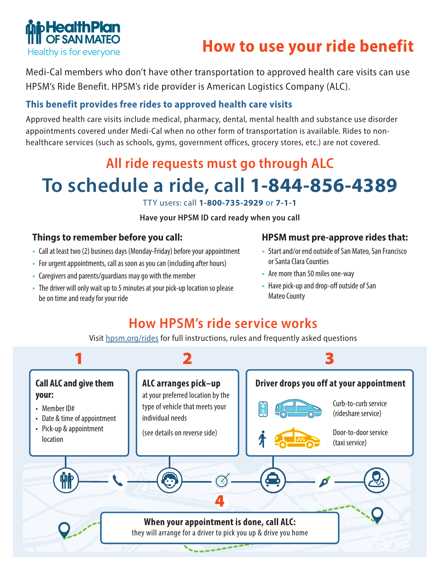

# **How to use your ride benefit**

Medi-Cal members who don't have other transportation to approved health care visits can use HPSM's Ride Benefit. HPSM's ride provider is American Logistics Company (ALC).

### **This benefit provides free rides to approved health care visits**

Approved health care visits include medical, pharmacy, dental, mental health and substance use disorder appointments covered under Medi-Cal when no other form of transportation is available. Rides to nonhealthcare services (such as schools, gyms, government offices, grocery stores, etc.) are not covered.

## **All ride requests must go through ALC**

# **To schedule a ride, call 1-844-856-4389**

TTY users: call **1-800-735-2929** or **7-1-1**

**Have your HPSM ID card ready when you call**

#### **Things to remember before you call:**

- **•** Call at least two (2) business days (Monday-Friday) before your appointment
- **•** For urgent appointments, call as soon as you can (including after hours)
- **•** Caregivers and parents/guardians may go with the member
- **•** The driver will only wait up to 5 minutes at your pick-up location so please be on time and ready for your ride

#### **HPSM must pre-approve rides that:**

- **•** Start and/or end outside of San Mateo, San Francisco or Santa Clara Counties
- **•** Are more than 50 miles one-way
- **•** Have pick-up and drop-off outside of San Mateo County

## **How HPSM's ride service works**

Visit hpsm.org/rides for full instructions, rules and frequently asked questions